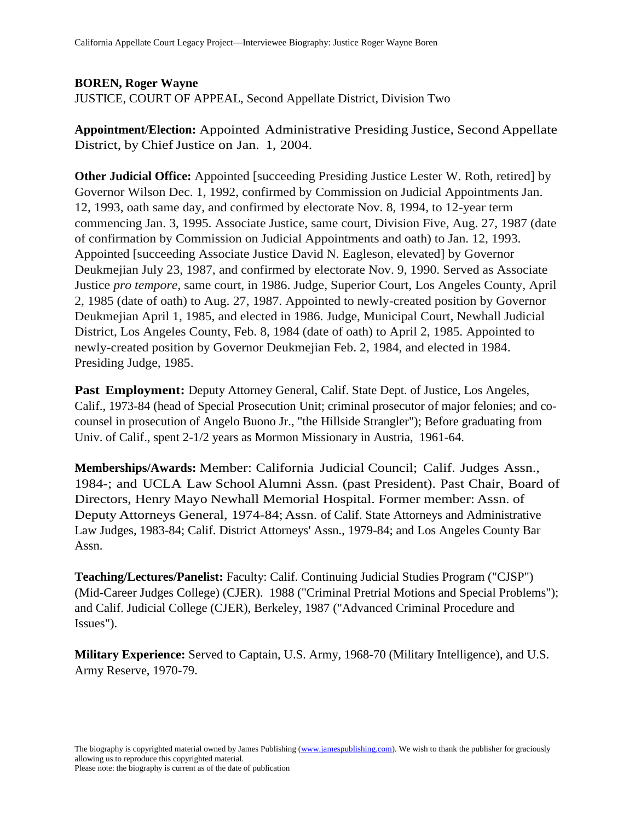## **BOREN, Roger Wayne**

JUSTICE, COURT OF APPEAL, Second Appellate District, Division Two

**Appointment/Election:** Appointed Administrative Presiding Justice, Second Appellate District, by Chief Justice on Jan. 1, 2004.

**Other Judicial Office:** Appointed [succeeding Presiding Justice Lester W. Roth, retired] by Governor Wilson Dec. 1, 1992, confirmed by Commission on Judicial Appointments Jan. 12, 1993, oath same day, and confirmed by electorate Nov. 8, 1994, to 12-year term commencing Jan. 3, 1995. Associate Justice, same court, Division Five, Aug. 27, 1987 (date of confirmation by Commission on Judicial Appointments and oath) to Jan. 12, 1993. Appointed [succeeding Associate Justice David N. Eagleson, elevated] by Governor Deukmejian July 23, 1987, and confirmed by electorate Nov. 9, 1990. Served as Associate Justice *pro tempore,* same court, in 1986. Judge, Superior Court, Los Angeles County, April 2, 1985 (date of oath) to Aug. 27, 1987. Appointed to newly-created position by Governor Deukmejian April 1, 1985, and elected in 1986. Judge, Municipal Court, Newhall Judicial District, Los Angeles County, Feb. 8, 1984 (date of oath) to April 2, 1985. Appointed to newly-created position by Governor Deukmejian Feb. 2, 1984, and elected in 1984. Presiding Judge, 1985.

**Past Employment:** Deputy Attorney General, Calif. State Dept. of Justice, Los Angeles, Calif., 1973-84 (head of Special Prosecution Unit; criminal prosecutor of major felonies; and cocounsel in prosecution of Angelo Buono Jr., "the Hillside Strangler"); Before graduating from Univ. of Calif., spent 2-1/2 years as Mormon Missionary in Austria, 1961-64.

**Memberships/Awards:** Member: California Judicial Council; Calif. Judges Assn., 1984-; and UCLA Law School Alumni Assn. (past President). Past Chair, Board of Directors, Henry Mayo Newhall Memorial Hospital. Former member: Assn. of Deputy Attorneys General, 1974-84; Assn. of Calif. State Attorneys and Administrative Law Judges, 1983-84; Calif. District Attorneys' Assn., 1979-84; and Los Angeles County Bar Assn.

**Teaching/Lectures/Panelist:** Faculty: Calif. Continuing Judicial Studies Program ("CJSP") (Mid-Career Judges College) (CJER). 1988 ("Criminal Pretrial Motions and Special Problems"); and Calif. Judicial College (CJER), Berkeley, 1987 ("Advanced Criminal Procedure and Issues").

**Military Experience:** Served to Captain, U.S. Army, 1968-70 (Military Intelligence), and U.S. Army Reserve, 1970-79.